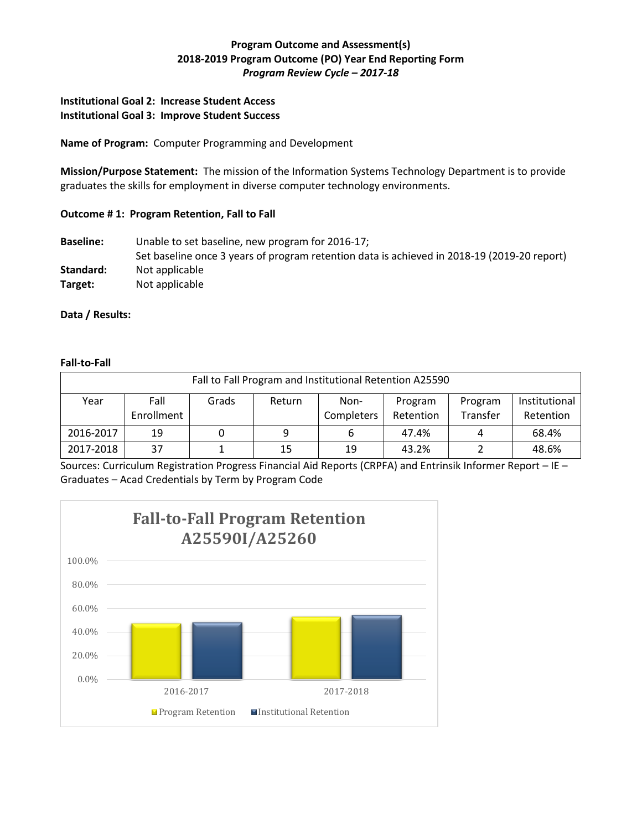# **Program Outcome and Assessment(s) 2018-2019 Program Outcome (PO) Year End Reporting Form** *Program Review Cycle – 2017-18*

### **Institutional Goal 2: Increase Student Access Institutional Goal 3: Improve Student Success**

**Name of Program:** Computer Programming and Development

**Mission/Purpose Statement:** The mission of the Information Systems Technology Department is to provide graduates the skills for employment in diverse computer technology environments.

# **Outcome # 1: Program Retention, Fall to Fall**

**Baseline:** Unable to set baseline, new program for 2016-17; Set baseline once 3 years of program retention data is achieved in 2018-19 (2019-20 report) Standard: Not applicable **Target:** Not applicable

# **Data / Results:**

#### **Fall-to-Fall**

| Fall to Fall Program and Institutional Retention A25590 |                    |       |        |                    |                      |                     |                            |  |  |
|---------------------------------------------------------|--------------------|-------|--------|--------------------|----------------------|---------------------|----------------------------|--|--|
| Year                                                    | Fall<br>Enrollment | Grads | Return | Non-<br>Completers | Program<br>Retention | Program<br>Transfer | Institutional<br>Retention |  |  |
| 2016-2017                                               | 19                 |       | 9      | ь                  | 47.4%                |                     | 68.4%                      |  |  |
| 2017-2018                                               | 37                 |       | 15     | 19                 | 43.2%                |                     | 48.6%                      |  |  |

Sources: Curriculum Registration Progress Financial Aid Reports (CRPFA) and Entrinsik Informer Report – IE – Graduates – Acad Credentials by Term by Program Code